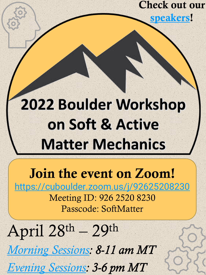Check out our [speakers!](https://www.colorado.edu/studentgroups/psm/april-2022-dissipative-mechanisms-elastomers-and-gels)

# 2022 Boulder Workshop on Soft & Active **Matter Mechanics**

## Join the event on Zoom!

[https://cuboulder.zoom.us/j/92625208230](https://www.google.com/url?q=https://cuboulder.zoom.us/j/92625208230&sa=D&source=calendar&ust=1650725009701485&usg=AOvVaw2c6qdsj7_XuMY5SwP5BqAh) Meeting ID: 926 2520 8230 Passcode: SoftMatter

April 28th – 29th [Morning Sessions](https://www.colorado.edu/studentgroups/psm/april-2022-symposium-agenda): 8-11 am MT **[Evening Sessions](https://www.colorado.edu/studentgroups/psm/april-2022-symposium-agenda): 3-6 pm MT**